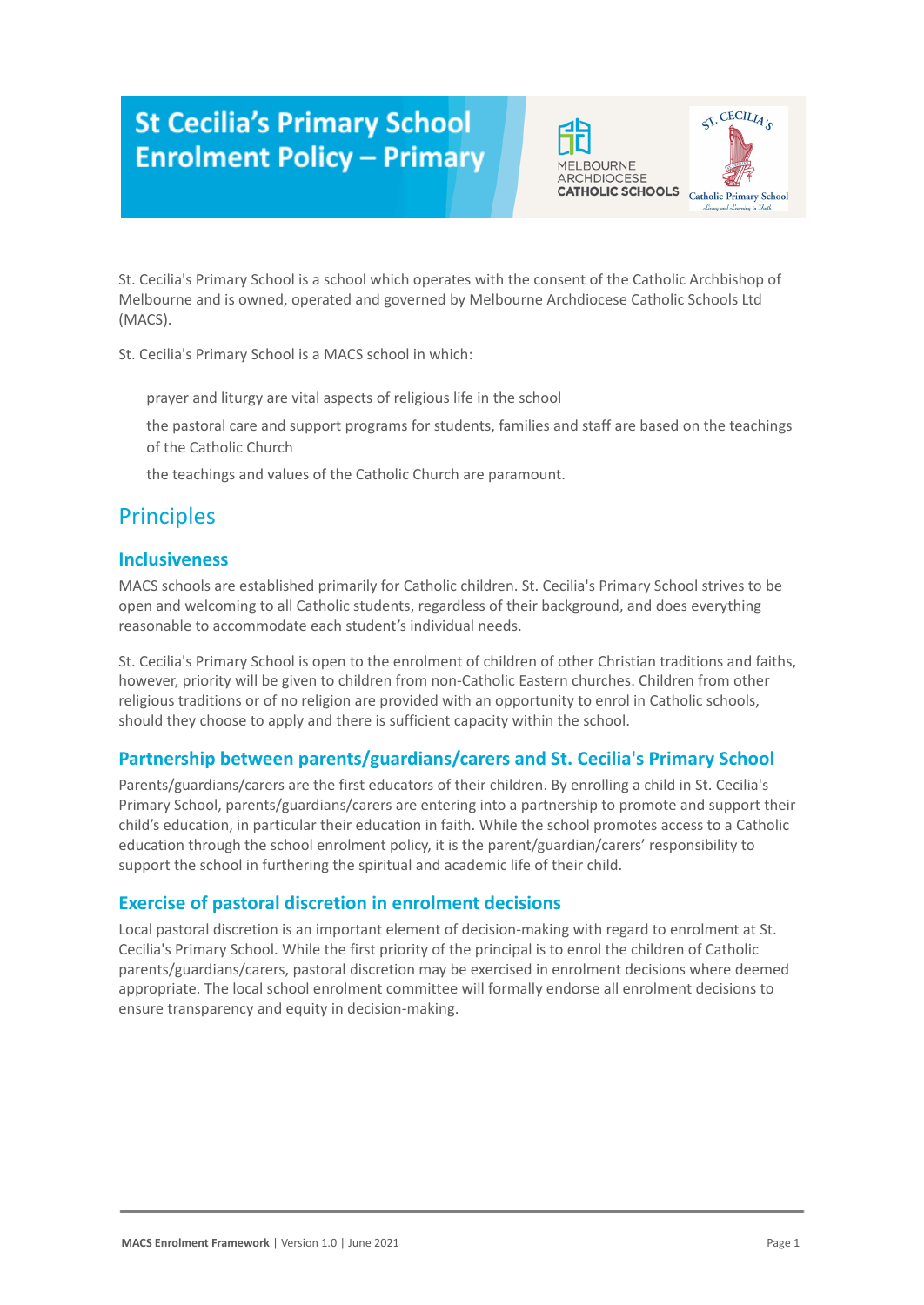# **St Cecilia's Primary School Enrolment Policy - Primary**





St. Cecilia's Primary School is a school which operates with the consent of the Catholic Archbishop of Melbourne and is owned, operated and governed by Melbourne Archdiocese Catholic Schools Ltd (MACS).

St. Cecilia's Primary School is a MACS school in which:

prayer and liturgy are vital aspects of religious life in the school

the pastoral care and support programs for students, families and staff are based on the teachings of the Catholic Church

the teachings and values of the Catholic Church are paramount.

# **Principles**

### **Inclusiveness**

MACS schools are established primarily for Catholic children. St. Cecilia's Primary School strives to be open and welcoming to all Catholic students, regardless of their background, and does everything reasonable to accommodate each student's individual needs.

St. Cecilia's Primary School is open to the enrolment of children of other Christian traditions and faiths, however, priority will be given to children from non-Catholic Eastern churches. Children from other religious traditions or of no religion are provided with an opportunity to enrol in Catholic schools, should they choose to apply and there is sufficient capacity within the school.

### **Partnership between parents/guardians/carers and St. Cecilia's Primary School**

Parents/guardians/carers are the first educators of their children. By enrolling a child in St. Cecilia's Primary School, parents/guardians/carers are entering into a partnership to promote and support their child's education, in particular their education in faith. While the school promotes access to a Catholic education through the school enrolment policy, it is the parent/guardian/carers' responsibility to support the school in furthering the spiritual and academic life of their child.

### **Exercise of pastoral discretion in enrolment decisions**

Local pastoral discretion is an important element of decision-making with regard to enrolment at St. Cecilia's Primary School. While the first priority of the principal is to enrol the children of Catholic parents/guardians/carers, pastoral discretion may be exercised in enrolment decisions where deemed appropriate. The local school enrolment committee will formally endorse all enrolment decisions to ensure transparency and equity in decision-making.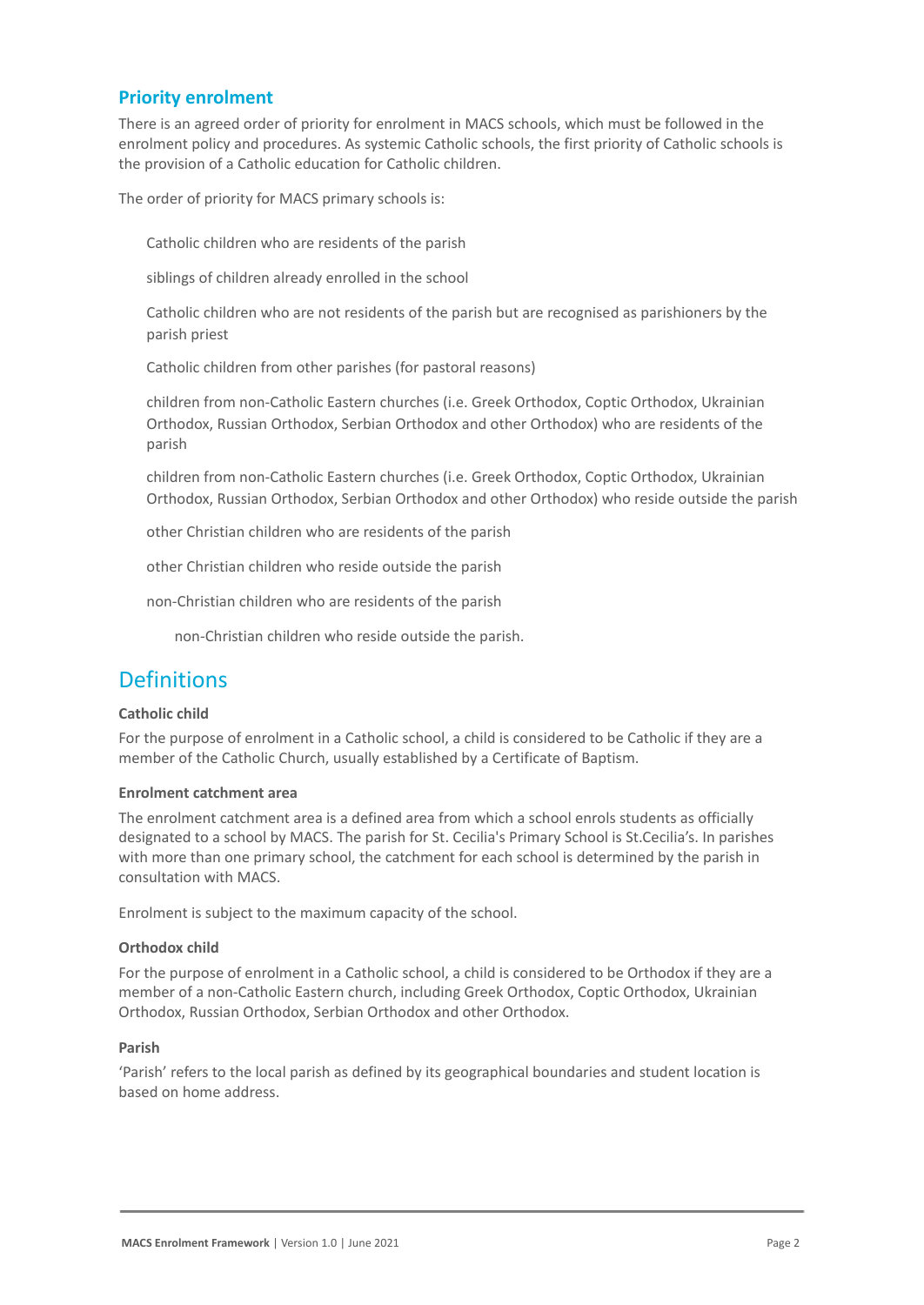### **Priority enrolment**

There is an agreed order of priority for enrolment in MACS schools, which must be followed in the enrolment policy and procedures. As systemic Catholic schools, the first priority of Catholic schools is the provision of a Catholic education for Catholic children.

The order of priority for MACS primary schools is:

Catholic children who are residents of the parish

siblings of children already enrolled in the school

Catholic children who are not residents of the parish but are recognised as parishioners by the parish priest

Catholic children from other parishes (for pastoral reasons)

5. children from non-Catholic Eastern churches (i.e. Greek Orthodox, Coptic Orthodox, Ukrainian Orthodox, Russian Orthodox, Serbian Orthodox and other Orthodox) who are residents of the parish

6. children from non-Catholic Eastern churches (i.e. Greek Orthodox, Coptic Orthodox, Ukrainian Orthodox, Russian Orthodox, Serbian Orthodox and other Orthodox) who reside outside the parish

other Christian children who are residents of the parish

other Christian children who reside outside the parish

9. non-Christian children who are residents of the parish

10. non-Christian children who reside outside the parish.

# **Definitions**

#### **Catholic child**

For the purpose of enrolment in a Catholic school, a child is considered to be Catholic if they are a member of the Catholic Church, usually established by a Certificate of Baptism.

#### **Enrolment catchment area**

The enrolment catchment area is a defined area from which a school enrols students as officially designated to a school by MACS. The parish for St. Cecilia's Primary School is St.Cecilia's. In parishes with more than one primary school, the catchment for each school is determined by the parish in consultation with MACS.

Enrolment is subject to the maximum capacity of the school.

#### **Orthodox child**

For the purpose of enrolment in a Catholic school, a child is considered to be Orthodox if they are a member of a non-Catholic Eastern church, including Greek Orthodox, Coptic Orthodox, Ukrainian Orthodox, Russian Orthodox, Serbian Orthodox and other Orthodox.

#### **Parish**

'Parish' refers to the local parish as defined by its geographical boundaries and student location is based on home address.